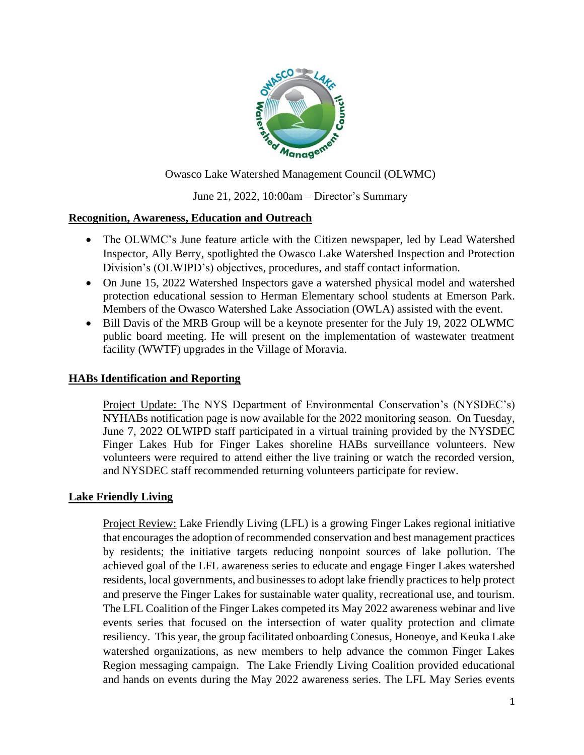

Owasco Lake Watershed Management Council (OLWMC)

## June 21, 2022, 10:00am – Director's Summary

#### **Recognition, Awareness, Education and Outreach**

- The OLWMC's June feature article with the Citizen newspaper, led by Lead Watershed Inspector, Ally Berry, spotlighted the Owasco Lake Watershed Inspection and Protection Division's (OLWIPD's) objectives, procedures, and staff contact information.
- On June 15, 2022 Watershed Inspectors gave a watershed physical model and watershed protection educational session to Herman Elementary school students at Emerson Park. Members of the Owasco Watershed Lake Association (OWLA) assisted with the event.
- Bill Davis of the MRB Group will be a keynote presenter for the July 19, 2022 OLWMC public board meeting. He will present on the implementation of wastewater treatment facility (WWTF) upgrades in the Village of Moravia.

#### **HABs Identification and Reporting**

Project Update: The NYS Department of Environmental Conservation's (NYSDEC's) NYHABs notification page is now available for the 2022 monitoring season. On Tuesday, June 7, 2022 OLWIPD staff participated in a virtual training provided by the NYSDEC Finger Lakes Hub for Finger Lakes shoreline HABs surveillance volunteers. New volunteers were required to attend either the live training or watch the recorded version, and NYSDEC staff recommended returning volunteers participate for review.

#### **Lake Friendly Living**

Project Review: Lake Friendly Living (LFL) is a growing Finger Lakes regional initiative that encourages the adoption of recommended conservation and best management practices by residents; the initiative targets reducing nonpoint sources of lake pollution. The achieved goal of the LFL awareness series to educate and engage Finger Lakes watershed residents, local governments, and businesses to adopt lake friendly practices to help protect and preserve the Finger Lakes for sustainable water quality, recreational use, and tourism. The LFL Coalition of the Finger Lakes competed its May 2022 awareness webinar and live events series that focused on the intersection of water quality protection and climate resiliency. This year, the group facilitated onboarding Conesus, Honeoye, and Keuka Lake watershed organizations, as new members to help advance the common Finger Lakes Region messaging campaign. The Lake Friendly Living Coalition provided educational and hands on events during the May 2022 awareness series. The LFL May Series events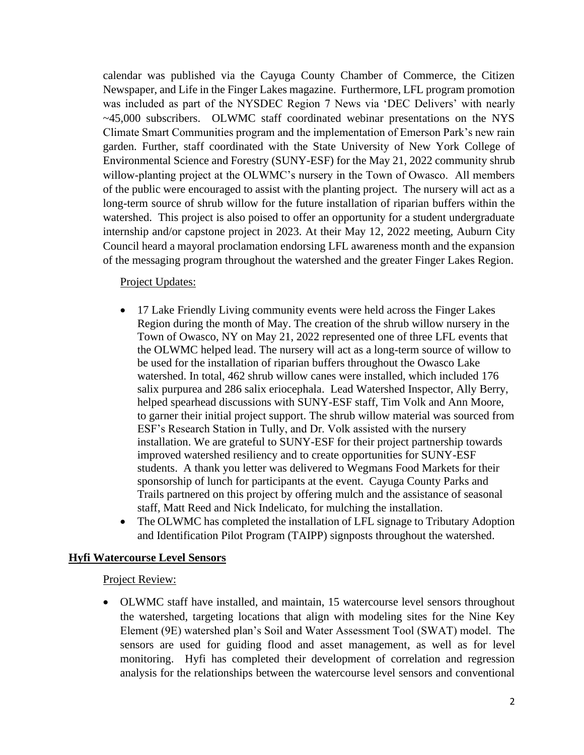calendar was published via the Cayuga County Chamber of Commerce, the Citizen Newspaper, and Life in the Finger Lakes magazine. Furthermore, LFL program promotion was included as part of the NYSDEC Region 7 News via 'DEC Delivers' with nearly ~45,000 subscribers. OLWMC staff coordinated webinar presentations on the NYS Climate Smart Communities program and the implementation of Emerson Park's new rain garden. Further, staff coordinated with the State University of New York College of Environmental Science and Forestry (SUNY-ESF) for the May 21, 2022 community shrub willow-planting project at the OLWMC's nursery in the Town of Owasco. All members of the public were encouraged to assist with the planting project. The nursery will act as a long-term source of shrub willow for the future installation of riparian buffers within the watershed. This project is also poised to offer an opportunity for a student undergraduate internship and/or capstone project in 2023. At their May 12, 2022 meeting, Auburn City Council heard a mayoral proclamation endorsing LFL awareness month and the expansion of the messaging program throughout the watershed and the greater Finger Lakes Region.

#### Project Updates:

- 17 Lake Friendly Living community events were held across the Finger Lakes Region during the month of May. The creation of the shrub willow nursery in the Town of Owasco, NY on May 21, 2022 represented one of three LFL events that the OLWMC helped lead. The nursery will act as a long-term source of willow to be used for the installation of riparian buffers throughout the Owasco Lake watershed. In total, 462 shrub willow canes were installed, which included 176 salix purpurea and 286 salix eriocephala. Lead Watershed Inspector, Ally Berry, helped spearhead discussions with SUNY-ESF staff, Tim Volk and Ann Moore, to garner their initial project support. The shrub willow material was sourced from ESF's Research Station in Tully, and Dr. Volk assisted with the nursery installation. We are grateful to SUNY-ESF for their project partnership towards improved watershed resiliency and to create opportunities for SUNY-ESF students. A thank you letter was delivered to Wegmans Food Markets for their sponsorship of lunch for participants at the event. Cayuga County Parks and Trails partnered on this project by offering mulch and the assistance of seasonal staff, Matt Reed and Nick Indelicato, for mulching the installation.
- The OLWMC has completed the installation of LFL signage to Tributary Adoption and Identification Pilot Program (TAIPP) signposts throughout the watershed.

#### **Hyfi Watercourse Level Sensors**

#### Project Review:

• OLWMC staff have installed, and maintain, 15 watercourse level sensors throughout the watershed, targeting locations that align with modeling sites for the Nine Key Element (9E) watershed plan's Soil and Water Assessment Tool (SWAT) model. The sensors are used for guiding flood and asset management, as well as for level monitoring. Hyfi has completed their development of correlation and regression analysis for the relationships between the watercourse level sensors and conventional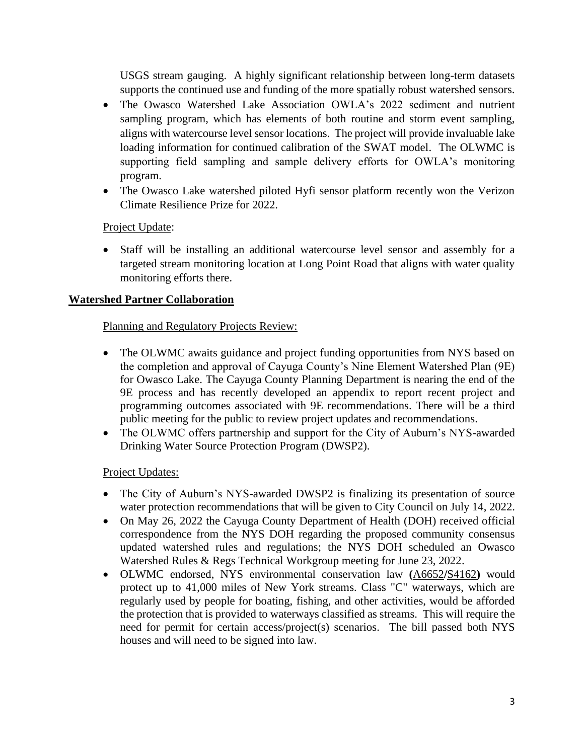USGS stream gauging. A highly significant relationship between long-term datasets supports the continued use and funding of the more spatially robust watershed sensors.

- The Owasco Watershed Lake Association OWLA's 2022 sediment and nutrient sampling program, which has elements of both routine and storm event sampling, aligns with watercourse level sensor locations. The project will provide invaluable lake loading information for continued calibration of the SWAT model. The OLWMC is supporting field sampling and sample delivery efforts for OWLA's monitoring program.
- The Owasco Lake watershed piloted Hyfi sensor platform recently won the Verizon Climate Resilience Prize for 2022.

## Project Update:

• Staff will be installing an additional watercourse level sensor and assembly for a targeted stream monitoring location at Long Point Road that aligns with water quality monitoring efforts there.

## **Watershed Partner Collaboration**

## Planning and Regulatory Projects Review:

- The OLWMC awaits guidance and project funding opportunities from NYS based on the completion and approval of Cayuga County's Nine Element Watershed Plan (9E) for Owasco Lake. The Cayuga County Planning Department is nearing the end of the 9E process and has recently developed an appendix to report recent project and programming outcomes associated with 9E recommendations. There will be a third public meeting for the public to review project updates and recommendations.
- The OLWMC offers partnership and support for the City of Auburn's NYS-awarded Drinking Water Source Protection Program (DWSP2).

## Project Updates:

- The City of Auburn's NYS-awarded DWSP2 is finalizing its presentation of source water protection recommendations that will be given to City Council on July 14, 2022.
- On May 26, 2022 the Cayuga County Department of Health (DOH) received official correspondence from the NYS DOH regarding the proposed community consensus updated watershed rules and regulations; the NYS DOH scheduled an Owasco Watershed Rules & Regs Technical Workgroup meeting for June 23, 2022.
- OLWMC endorsed, NYS environmental conservation law **(**[A6652](https://eany.us6.list-manage.com/track/click?u=99963d1ea1aa6144d22c88120&id=71858d8442&e=867eb536da)**/**[S4162](https://eany.us6.list-manage.com/track/click?u=99963d1ea1aa6144d22c88120&id=53da8c8f94&e=867eb536da)**)** would protect up to 41,000 miles of New York streams. Class "C" waterways, which are regularly used by people for boating, fishing, and other activities, would be afforded the protection that is provided to waterways classified as streams. This will require the need for permit for certain access/project(s) scenarios. The bill passed both NYS houses and will need to be signed into law.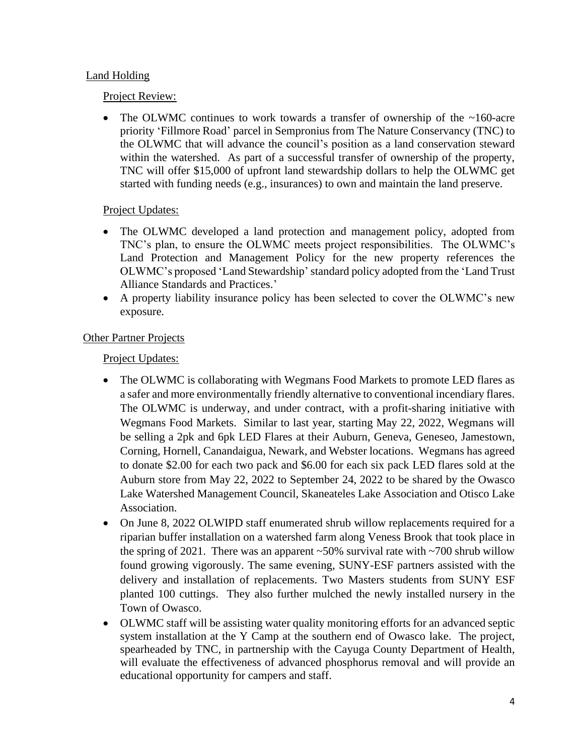## Land Holding

## Project Review:

• The OLWMC continues to work towards a transfer of ownership of the  $\sim$ 160-acre priority 'Fillmore Road' parcel in Sempronius from The Nature Conservancy (TNC) to the OLWMC that will advance the council's position as a land conservation steward within the watershed. As part of a successful transfer of ownership of the property, TNC will offer \$15,000 of upfront land stewardship dollars to help the OLWMC get started with funding needs (e.g., insurances) to own and maintain the land preserve.

# Project Updates:

- The OLWMC developed a land protection and management policy, adopted from TNC's plan, to ensure the OLWMC meets project responsibilities. The OLWMC's Land Protection and Management Policy for the new property references the OLWMC's proposed 'Land Stewardship'standard policy adopted from the ['Land Trust](http://s3.amazonaws.com/landtrustalliance.org/LandTrustStandardsandPractices.pdf)  [Alliance Standards and Practices.](http://s3.amazonaws.com/landtrustalliance.org/LandTrustStandardsandPractices.pdf)'
- A property liability insurance policy has been selected to cover the OLWMC's new exposure.

# **Other Partner Projects**

Project Updates:

- The OLWMC is collaborating with Wegmans Food Markets to promote LED flares as a safer and more environmentally friendly alternative to conventional incendiary flares. The OLWMC is underway, and under contract, with a profit-sharing initiative with Wegmans Food Markets. Similar to last year, starting May 22, 2022, Wegmans will be selling a 2pk and 6pk LED Flares at their Auburn, Geneva, Geneseo, Jamestown, Corning, Hornell, Canandaigua, Newark, and Webster locations. Wegmans has agreed to donate \$2.00 for each two pack and \$6.00 for each six pack LED flares sold at the Auburn store from May 22, 2022 to September 24, 2022 to be shared by the Owasco Lake Watershed Management Council, Skaneateles Lake Association and Otisco Lake Association.
- On June 8, 2022 OLWIPD staff enumerated shrub willow replacements required for a riparian buffer installation on a watershed farm along Veness Brook that took place in the spring of 2021. There was an apparent  $\sim 50\%$  survival rate with  $\sim 700$  shrub willow found growing vigorously. The same evening, SUNY-ESF partners assisted with the delivery and installation of replacements. Two Masters students from SUNY ESF planted 100 cuttings. They also further mulched the newly installed nursery in the Town of Owasco.
- OLWMC staff will be assisting water quality monitoring efforts for an advanced septic system installation at the Y Camp at the southern end of Owasco lake. The project, spearheaded by TNC, in partnership with the Cayuga County Department of Health, will evaluate the effectiveness of advanced phosphorus removal and will provide an educational opportunity for campers and staff.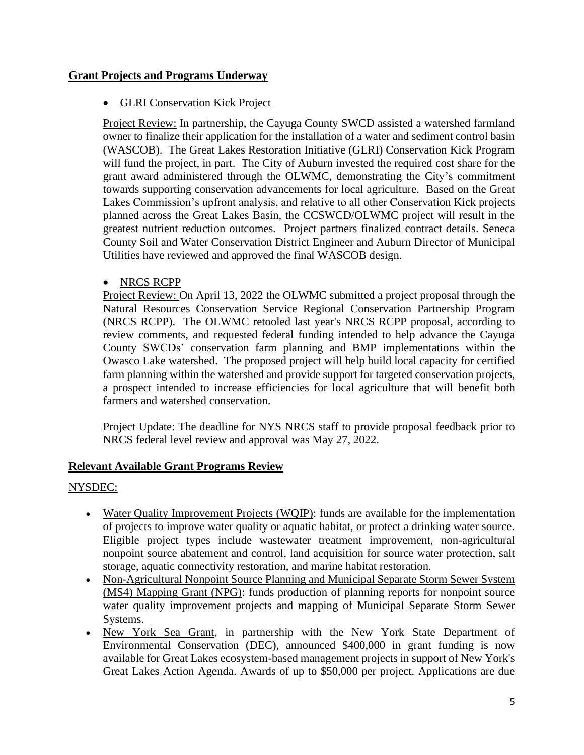## **Grant Projects and Programs Underway**

## • GLRI Conservation Kick Project

Project Review: In partnership, the Cayuga County SWCD assisted a watershed farmland owner to finalize their application for the installation of a water and sediment control basin (WASCOB). The Great Lakes Restoration Initiative (GLRI) Conservation Kick Program will fund the project, in part. The City of Auburn invested the required cost share for the grant award administered through the OLWMC, demonstrating the City's commitment towards supporting conservation advancements for local agriculture. Based on the Great Lakes Commission's upfront analysis, and relative to all other Conservation Kick projects planned across the Great Lakes Basin, the CCSWCD/OLWMC project will result in the greatest nutrient reduction outcomes*.* Project partners finalized contract details. Seneca County Soil and Water Conservation District Engineer and Auburn Director of Municipal Utilities have reviewed and approved the final WASCOB design.

## • NRCS RCPP

Project Review: On April 13, 2022 the OLWMC submitted a project proposal through the Natural Resources Conservation Service Regional Conservation Partnership Program (NRCS RCPP). The OLWMC retooled last year's NRCS RCPP proposal, according to review comments, and requested federal funding intended to help advance the Cayuga County SWCDs' conservation farm planning and BMP implementations within the Owasco Lake watershed. The proposed project will help build local capacity for certified farm planning within the watershed and provide support for targeted conservation projects, a prospect intended to increase efficiencies for local agriculture that will benefit both farmers and watershed conservation.

Project Update: The deadline for NYS NRCS staff to provide proposal feedback prior to NRCS federal level review and approval was May 27, 2022.

# **Relevant Available Grant Programs Review**

## NYSDEC:

- [Water Quality Improvement Projects](https://gcc02.safelinks.protection.outlook.com/?url=https%3A%2F%2Flnks.gd%2Fl%2FeyJhbGciOiJIUzI1NiJ9.eyJidWxsZXRpbl9saW5rX2lkIjoxMDMsInVyaSI6ImJwMjpjbGljayIsImJ1bGxldGluX2lkIjoiMjAyMjA1MTAuNTc2Njc4ODEiLCJ1cmwiOiJodHRwczovL3d3dy5kZWMubnkuZ292L3B1YnMvNDc3NC5odG1sIn0.gd1OB3MtEqd64ATFtjvVmcucCmoJs0Pt2aYfsWWjRJk%2Fs%2F173601332%2Fbr%2F131058055804-l&data=05%7C01%7Cshannon.dougherty%40dec.ny.gov%7Cec3579af0bdb4b5953be08da329841c1%7Cf46cb8ea79004d108ceb80e8c1c81ee7%7C0%7C0%7C637877926764339076%7CUnknown%7CTWFpbGZsb3d8eyJWIjoiMC4wLjAwMDAiLCJQIjoiV2luMzIiLCJBTiI6Ik1haWwiLCJXVCI6Mn0%3D%7C3000%7C%7C%7C&sdata=k%2BE1OM9vIhF6flVprtk4NXz2sr1%2FhMBk49MHKLP%2FF3Q%3D&reserved=0) (WQIP): funds are available for the implementation of projects to improve water quality or aquatic habitat, or protect a drinking water source. Eligible project types include wastewater treatment improvement, non-agricultural nonpoint source abatement and control, land acquisition for source water protection, salt storage, aquatic connectivity restoration, and marine habitat restoration.
- [Non-Agricultural Nonpoint Source Planning](https://gcc02.safelinks.protection.outlook.com/?url=https%3A%2F%2Flnks.gd%2Fl%2FeyJhbGciOiJIUzI1NiJ9.eyJidWxsZXRpbl9saW5rX2lkIjoxMDQsInVyaSI6ImJwMjpjbGljayIsImJ1bGxldGluX2lkIjoiMjAyMjA1MTAuNTc2Njc4ODEiLCJ1cmwiOiJodHRwczovL3d3dy5kZWMubnkuZ292L3B1YnMvMTE2NzI1Lmh0bWwifQ.l5uT6azX592qZRczVFs2KQTl6mHwAYL4vsfV_Mg2X1U%2Fs%2F173601332%2Fbr%2F131058055804-l&data=05%7C01%7Cshannon.dougherty%40dec.ny.gov%7Cec3579af0bdb4b5953be08da329841c1%7Cf46cb8ea79004d108ceb80e8c1c81ee7%7C0%7C0%7C637877926764339076%7CUnknown%7CTWFpbGZsb3d8eyJWIjoiMC4wLjAwMDAiLCJQIjoiV2luMzIiLCJBTiI6Ik1haWwiLCJXVCI6Mn0%3D%7C3000%7C%7C%7C&sdata=F30wAj3Dgr0p8XFfXZGmRorJd%2FNjI7QedkVgZfeMgOA%3D&reserved=0) and Municipal Separate Storm Sewer System (MS4) Mapping Grant (NPG): funds production of planning reports for nonpoint source water quality improvement projects and mapping of Municipal Separate Storm Sewer Systems.
- New York Sea Grant, in partnership with the New York State Department of Environmental Conservation (DEC), announced \$400,000 in grant funding is now available for Great Lakes ecosystem-based management projects in support of [New York's](https://lnks.gd/l/eyJhbGciOiJIUzI1NiJ9.eyJidWxsZXRpbl9saW5rX2lkIjoxMDIsInVyaSI6ImJwMjpjbGljayIsImJ1bGxldGluX2lkIjoiMjAyMjA1MTEuNTc3MjU1MjEiLCJ1cmwiOiJodHRwczovL3d3dy5kZWMubnkuZ292L2xhbmRzLzkxODgxLmh0bWwifQ.taX18Mr5B-PA_ai1vWlxxIos6-6_PJEUfz4tkx0V7e8/s/980359839/br/131125373068-l)  [Great Lakes Action Agenda.](https://lnks.gd/l/eyJhbGciOiJIUzI1NiJ9.eyJidWxsZXRpbl9saW5rX2lkIjoxMDIsInVyaSI6ImJwMjpjbGljayIsImJ1bGxldGluX2lkIjoiMjAyMjA1MTEuNTc3MjU1MjEiLCJ1cmwiOiJodHRwczovL3d3dy5kZWMubnkuZ292L2xhbmRzLzkxODgxLmh0bWwifQ.taX18Mr5B-PA_ai1vWlxxIos6-6_PJEUfz4tkx0V7e8/s/980359839/br/131125373068-l) Awards of up to \$50,000 per project. Applications are due